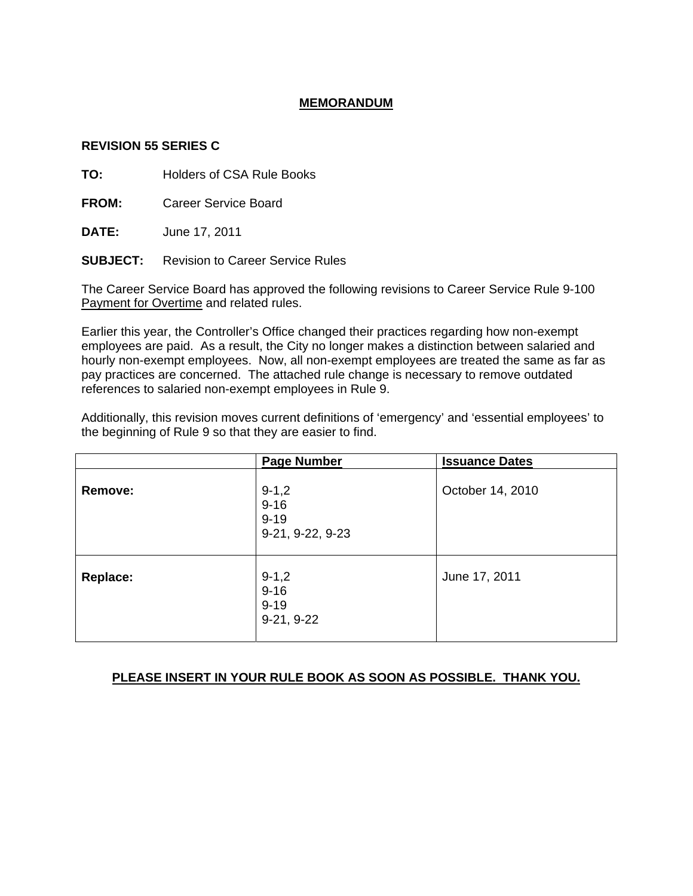## **MEMORANDUM**

### **REVISION 55 SERIES C**

**TO:** Holders of CSA Rule Books

**FROM:** Career Service Board

**DATE:** June 17, 2011

**SUBJECT:** Revision to Career Service Rules

The Career Service Board has approved the following revisions to Career Service Rule 9-100 Payment for Overtime and related rules.

Earlier this year, the Controller's Office changed their practices regarding how non-exempt employees are paid. As a result, the City no longer makes a distinction between salaried and hourly non-exempt employees. Now, all non-exempt employees are treated the same as far as pay practices are concerned. The attached rule change is necessary to remove outdated references to salaried non-exempt employees in Rule 9.

Additionally, this revision moves current definitions of 'emergency' and 'essential employees' to the beginning of Rule 9 so that they are easier to find.

|                 | <b>Page Number</b>                                    | <b>Issuance Dates</b> |
|-----------------|-------------------------------------------------------|-----------------------|
| Remove:         | $9 - 1,2$<br>$9 - 16$<br>$9 - 19$<br>9-21, 9-22, 9-23 | October 14, 2010      |
| <b>Replace:</b> | $9 - 1,2$<br>$9 - 16$<br>$9 - 19$<br>$9-21, 9-22$     | June 17, 2011         |

## **PLEASE INSERT IN YOUR RULE BOOK AS SOON AS POSSIBLE. THANK YOU.**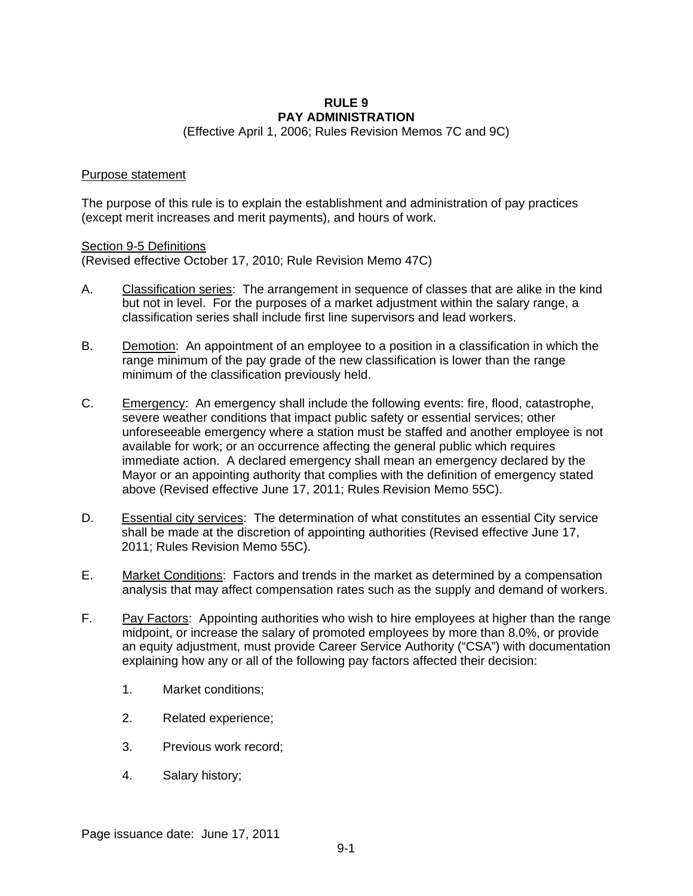## **RULE 9 PAY ADMINISTRATION**

(Effective April 1, 2006; Rules Revision Memos 7C and 9C)

#### Purpose statement

The purpose of this rule is to explain the establishment and administration of pay practices (except merit increases and merit payments), and hours of work.

#### Section 9-5 Definitions

(Revised effective October 17, 2010; Rule Revision Memo 47C)

- A. Classification series: The arrangement in sequence of classes that are alike in the kind but not in level. For the purposes of a market adjustment within the salary range, a classification series shall include first line supervisors and lead workers.
- B. Demotion: An appointment of an employee to a position in a classification in which the range minimum of the pay grade of the new classification is lower than the range minimum of the classification previously held.
- C. Emergency: An emergency shall include the following events: fire, flood, catastrophe, severe weather conditions that impact public safety or essential services; other unforeseeable emergency where a station must be staffed and another employee is not available for work; or an occurrence affecting the general public which requires immediate action. A declared emergency shall mean an emergency declared by the Mayor or an appointing authority that complies with the definition of emergency stated above (Revised effective June 17, 2011; Rules Revision Memo 55C).
- D. Essential city services: The determination of what constitutes an essential City service shall be made at the discretion of appointing authorities (Revised effective June 17, 2011; Rules Revision Memo 55C).
- E. Market Conditions: Factors and trends in the market as determined by a compensation analysis that may affect compensation rates such as the supply and demand of workers.
- F. Pay Factors: Appointing authorities who wish to hire employees at higher than the range midpoint, or increase the salary of promoted employees by more than 8.0%, or provide an equity adjustment, must provide Career Service Authority ("CSA") with documentation explaining how any or all of the following pay factors affected their decision:
	- 1. Market conditions;
	- 2. Related experience;
	- 3. Previous work record;
	- 4. Salary history;

Page issuance date: June 17, 2011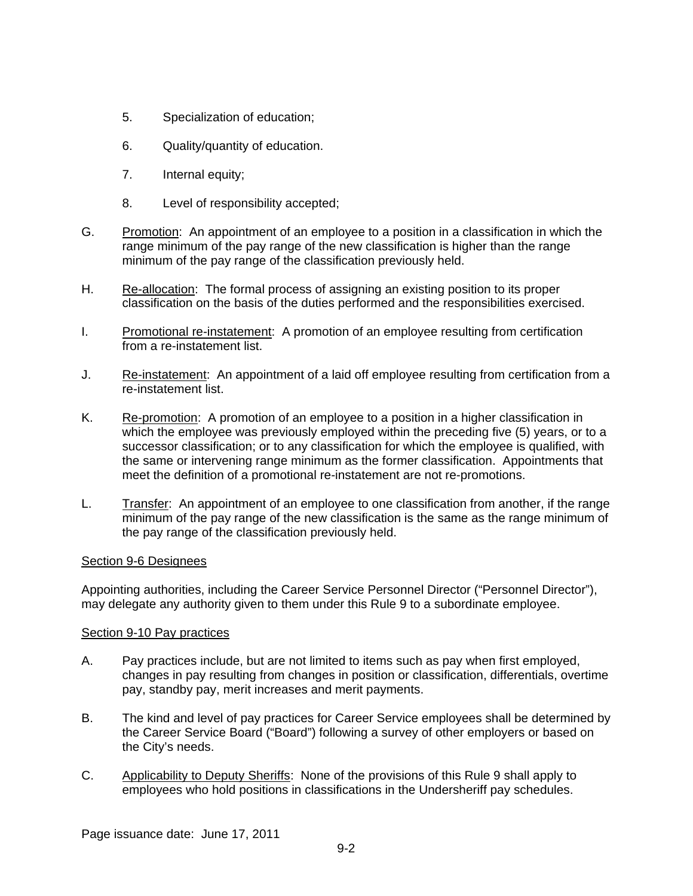- 5. Specialization of education;
- 6. Quality/quantity of education.
- 7. Internal equity;
- 8. Level of responsibility accepted;
- G. Promotion: An appointment of an employee to a position in a classification in which the range minimum of the pay range of the new classification is higher than the range minimum of the pay range of the classification previously held.
- H. Re-allocation: The formal process of assigning an existing position to its proper classification on the basis of the duties performed and the responsibilities exercised.
- I. Promotional re-instatement: A promotion of an employee resulting from certification from a re-instatement list.
- J. Re-instatement: An appointment of a laid off employee resulting from certification from a re-instatement list.
- K. Re-promotion: A promotion of an employee to a position in a higher classification in which the employee was previously employed within the preceding five (5) years, or to a successor classification; or to any classification for which the employee is qualified, with the same or intervening range minimum as the former classification. Appointments that meet the definition of a promotional re-instatement are not re-promotions.
- L. Transfer: An appointment of an employee to one classification from another, if the range minimum of the pay range of the new classification is the same as the range minimum of the pay range of the classification previously held.

#### Section 9-6 Designees

Appointing authorities, including the Career Service Personnel Director ("Personnel Director"), may delegate any authority given to them under this Rule 9 to a subordinate employee.

#### Section 9-10 Pay practices

- A. Pay practices include, but are not limited to items such as pay when first employed, changes in pay resulting from changes in position or classification, differentials, overtime pay, standby pay, merit increases and merit payments.
- B. The kind and level of pay practices for Career Service employees shall be determined by the Career Service Board ("Board") following a survey of other employers or based on the City's needs.
- C. Applicability to Deputy Sheriffs:None of the provisions of this Rule 9 shall apply to employees who hold positions in classifications in the Undersheriff pay schedules.

Page issuance date: June 17, 2011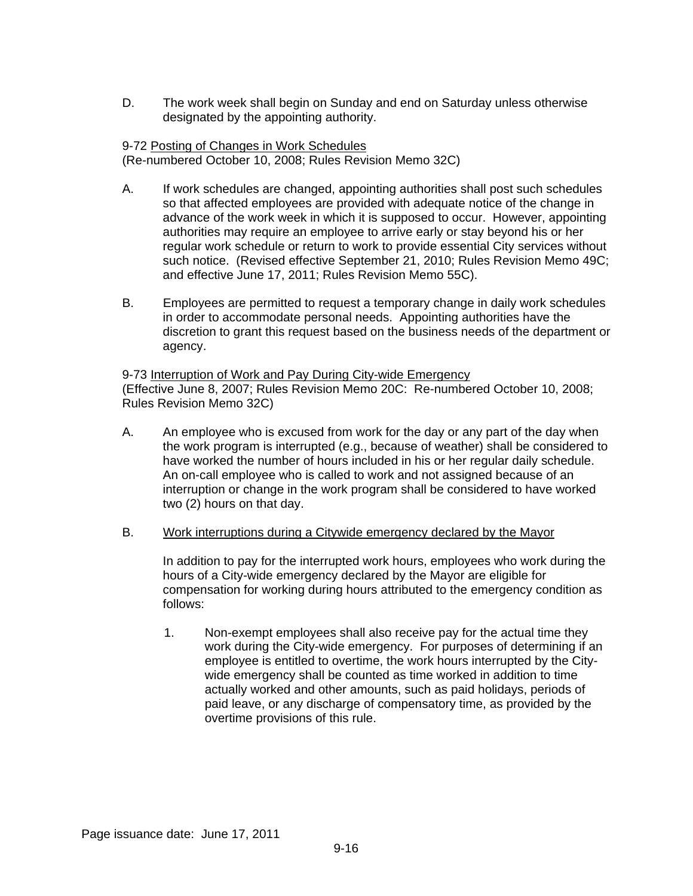D. The work week shall begin on Sunday and end on Saturday unless otherwise designated by the appointing authority.

#### 9-72 Posting of Changes in Work Schedules (Re-numbered October 10, 2008; Rules Revision Memo 32C)

- A. If work schedules are changed, appointing authorities shall post such schedules so that affected employees are provided with adequate notice of the change in advance of the work week in which it is supposed to occur. However, appointing authorities may require an employee to arrive early or stay beyond his or her regular work schedule or return to work to provide essential City services without such notice. (Revised effective September 21, 2010; Rules Revision Memo 49C; and effective June 17, 2011; Rules Revision Memo 55C).
- B. Employees are permitted to request a temporary change in daily work schedules in order to accommodate personal needs. Appointing authorities have the discretion to grant this request based on the business needs of the department or agency.

9-73 Interruption of Work and Pay During City-wide Emergency (Effective June 8, 2007; Rules Revision Memo 20C: Re-numbered October 10, 2008; Rules Revision Memo 32C)

- A. An employee who is excused from work for the day or any part of the day when the work program is interrupted (e.g., because of weather) shall be considered to have worked the number of hours included in his or her regular daily schedule. An on-call employee who is called to work and not assigned because of an interruption or change in the work program shall be considered to have worked two (2) hours on that day.
- B. Work interruptions during a Citywide emergency declared by the Mayor

In addition to pay for the interrupted work hours, employees who work during the hours of a City-wide emergency declared by the Mayor are eligible for compensation for working during hours attributed to the emergency condition as follows:

1. Non-exempt employees shall also receive pay for the actual time they work during the City-wide emergency. For purposes of determining if an employee is entitled to overtime, the work hours interrupted by the Citywide emergency shall be counted as time worked in addition to time actually worked and other amounts, such as paid holidays, periods of paid leave, or any discharge of compensatory time, as provided by the overtime provisions of this rule.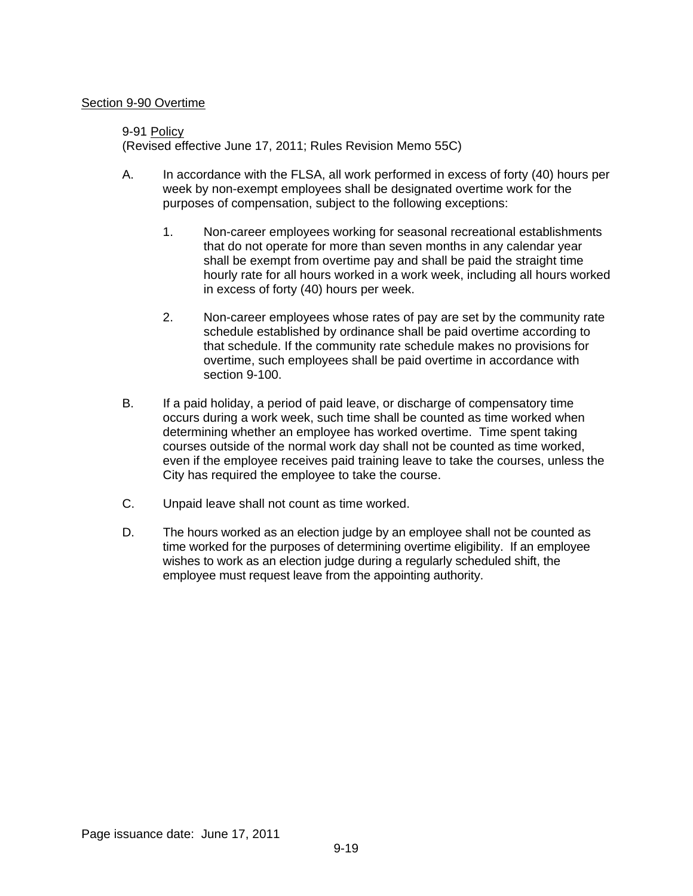### Section 9-90 Overtime

# 9-91 Policy (Revised effective June 17, 2011; Rules Revision Memo 55C)

- A. In accordance with the FLSA, all work performed in excess of forty (40) hours per week by non-exempt employees shall be designated overtime work for the purposes of compensation, subject to the following exceptions:
	- 1. Non-career employees working for seasonal recreational establishments that do not operate for more than seven months in any calendar year shall be exempt from overtime pay and shall be paid the straight time hourly rate for all hours worked in a work week, including all hours worked in excess of forty (40) hours per week.
	- 2. Non-career employees whose rates of pay are set by the community rate schedule established by ordinance shall be paid overtime according to that schedule. If the community rate schedule makes no provisions for overtime, such employees shall be paid overtime in accordance with section 9-100.
- B. If a paid holiday, a period of paid leave, or discharge of compensatory time occurs during a work week, such time shall be counted as time worked when determining whether an employee has worked overtime. Time spent taking courses outside of the normal work day shall not be counted as time worked, even if the employee receives paid training leave to take the courses, unless the City has required the employee to take the course.
- C. Unpaid leave shall not count as time worked.
- D. The hours worked as an election judge by an employee shall not be counted as time worked for the purposes of determining overtime eligibility. If an employee wishes to work as an election judge during a regularly scheduled shift, the employee must request leave from the appointing authority.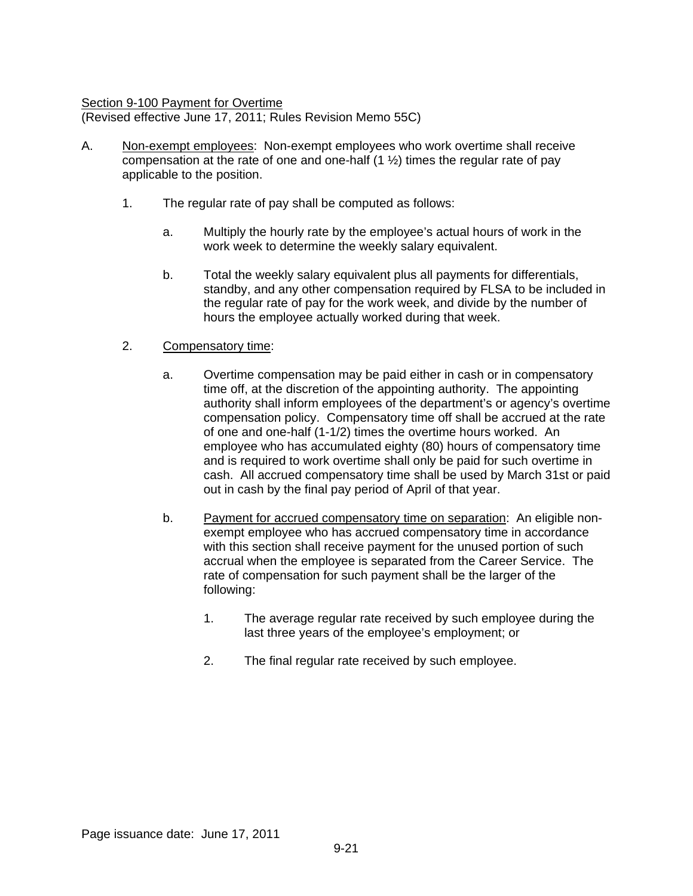### Section 9-100 Payment for Overtime

(Revised effective June 17, 2011; Rules Revision Memo 55C)

- A. Non-exempt employees: Non-exempt employees who work overtime shall receive compensation at the rate of one and one-half  $(1 \frac{1}{2})$  times the regular rate of pay applicable to the position.
	- 1. The regular rate of pay shall be computed as follows:
		- a. Multiply the hourly rate by the employee's actual hours of work in the work week to determine the weekly salary equivalent.
		- b. Total the weekly salary equivalent plus all payments for differentials, standby, and any other compensation required by FLSA to be included in the regular rate of pay for the work week, and divide by the number of hours the employee actually worked during that week.

### 2. Compensatory time:

- a. Overtime compensation may be paid either in cash or in compensatory time off, at the discretion of the appointing authority. The appointing authority shall inform employees of the department's or agency's overtime compensation policy. Compensatory time off shall be accrued at the rate of one and one-half (1-1/2) times the overtime hours worked. An employee who has accumulated eighty (80) hours of compensatory time and is required to work overtime shall only be paid for such overtime in cash. All accrued compensatory time shall be used by March 31st or paid out in cash by the final pay period of April of that year.
- b. Payment for accrued compensatory time on separation: An eligible nonexempt employee who has accrued compensatory time in accordance with this section shall receive payment for the unused portion of such accrual when the employee is separated from the Career Service. The rate of compensation for such payment shall be the larger of the following:
	- 1. The average regular rate received by such employee during the last three years of the employee's employment; or
	- 2. The final regular rate received by such employee.